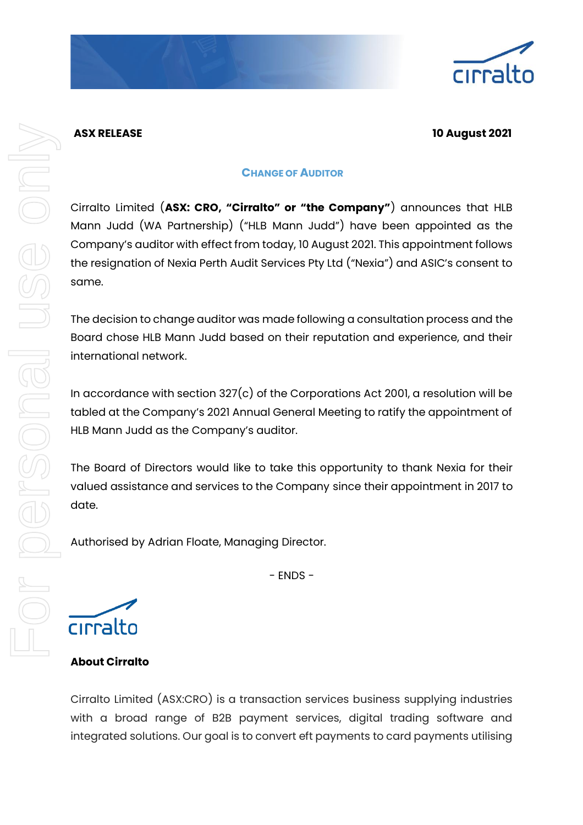

## **ASX RELEASE 10 August 2021**

## **CHANGE OF AUDITOR**

Cirralto Limited (**ASX: CRO, "Cirralto" or "the Company"**) announces that HLB Mann Judd (WA Partnership) ("HLB Mann Judd") have been appointed as the Company's auditor with effect from today, 10 August 2021. This appointment follows the resignation of Nexia Perth Audit Services Pty Ltd ("Nexia") and ASIC's consent to same.

The decision to change auditor was made following a consultation process and the Board chose HLB Mann Judd based on their reputation and experience, and their international network.

In accordance with section 327(c) of the Corporations Act 2001, a resolution will be tabled at the Company's 2021 Annual General Meeting to ratify the appointment of HLB Mann Judd as the Company's auditor.

The Board of Directors would like to take this opportunity to thank Nexia for their valued assistance and services to the Company since their appointment in 2017 to date.

Authorised by Adrian Floate, Managing Director.

 $-$  FNDS  $-$ 

cirralto

**About Cirralto**

Cirralto Limited (ASX:CRO) is a transaction services business supplying industries with a broad range of B2B payment services, digital trading software and integrated solutions. Our goal is to convert eft payments to card payments utilising